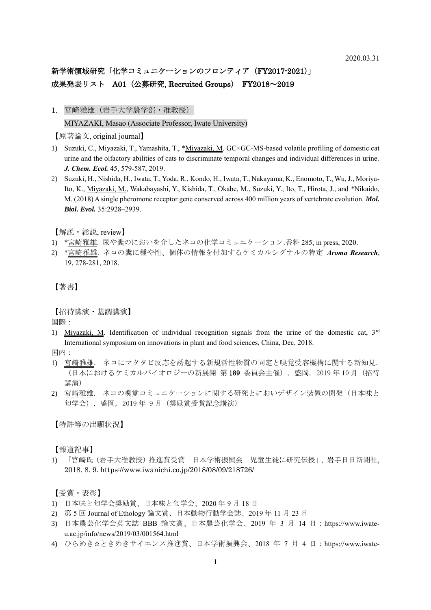# 新学術領域研究「化学コミュニケーションのフロンティア (FY2017-2021)」 成果発表リスト A01 (公募研究, Recruited Groups) FY2018~2019

1. 宮崎雅雄(岩手大学農学部・准教授)

MIYAZAKI, Masao (Associate Professor, Iwate University)

【原著論文, original journal】

- 1) Suzuki, C., Miyazaki, T., Yamashita, T., \*Miyazaki, M. GC×GC-MS-based volatile profiling of domestic cat urine and the olfactory abilities of cats to discriminate temporal changes and individual differences in urine. *J. Chem. Ecol.* 45, 579-587, 2019.
- 2) Suzuki, H., Nishida, H., Iwata, T., Yoda, R., Kondo, H., Iwata, T., Nakayama, K., Enomoto, T., Wu, J., Moriya-Ito, K., Miyazaki, M., Wakabayashi, Y., Kishida, T., Okabe, M., Suzuki, Y., Ito, T., Hirota, J., and \*Nikaido, M. (2018) A single pheromone receptor gene conserved across 400 million years of vertebrate evolution. *Mol. Biol. Evol.* 35:2928–2939.

【解説・総説, review】

- 1) \*宮崎雅雄. 尿や糞のにおいを介したネコの化学コミュニケーション.香料 285, in press, 2020.
- 2) \*宮崎雅雄. ネコの糞に種や性、個体の情報を付加するケミカルシグナルの特定 *Aroma Research*, 19, 278-281, 2018.

【著書】

【招待講演・基調講演】

国際:

1) Miyazaki, M. Identification of individual recognition signals from the urine of the domestic cat, 3rd International symposium on innovations in plant and food sciences, China, Dec, 2018.

国内:

- 1) 宮崎雅雄. ネコにマタタビ反応を誘起する新規活性物質の同定と嗅覚受容機構に関する新知見. (日本におけるケミカルバイオロジーの新展開 第 189 委員会主催), 盛岡, 2019 年 10 月(招待 講演)
- 2) 宮崎雅雄. ネコの嗅覚コミュニケーションに関する研究とにおいデザイン装置の開発(日本味と 匂学会), 盛岡, 2019 年 9 月(奨励賞受賞記念講演)

【特許等の出願状況】

【報道記事】

1) 「宮崎氏(岩手大准教授)推進賞受賞 日本学術振興会 児童生徒に研究伝授」, 岩手日日新聞社, 2018. 8. 9. https://www.iwanichi.co.jp/2018/08/09/218726/

【受賞・表彰】

- 1) 日本味と匂学会奨励賞、日本味と匂学会、2020 年 9 月 18 日
- 2) 第 5 回 Journal of Ethology 論文賞、日本動物行動学会誌、2019 年 11 月 23 日
- 3) 日本農芸化学会英文誌 BBB 論文賞、日本農芸化学会、2019 年 3 月 14 日:https://www.iwateu.ac.jp/info/news/2019/03/001564.html
- 4) ひらめき☆ときめきサイエンス推進賞、日本学術振興会、2018 年 7 月 4 日:https://www.iwate-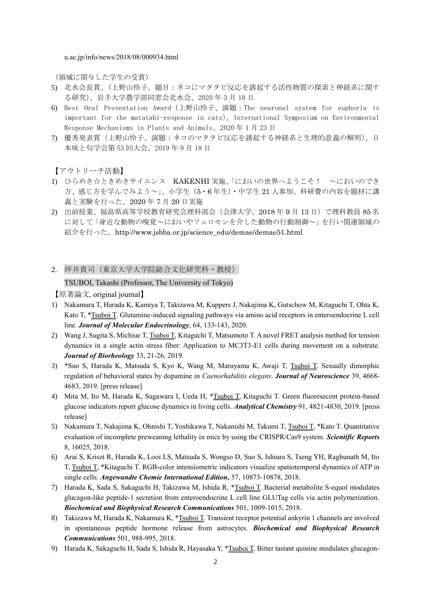u.ac.jp/info/news/2018/08/000934.html

(領域に関与した学生の受賞)

- 5) 北水会長賞、(上野山怜子、題目:ネコにマタタビ反応を誘起する活性物質の探索と神経系に関す る研究)、岩手大学農学部同窓会北水会、2020 年 3 月 18 日
- 6) Best Oral Presentation Award(上野山怜子、演題:The neuronal system for euphoria is important for the matatabi-response in cats)、International Symposium on Environmental Response Mechanisms in Plants and Animals、2020 年 1 月 23 日
- 7) 優秀発表賞(上野山怜子、演題:ネコのマタタビ反応を誘起する神経系と生理的意義の解明)、日 本味と匂学会第 53 回大会、2019 年 9 月 18 日

【アウトリーチ活動】

- 1) ひらめき☆ときめきサイエンス KAKENHI 実施、「においの世界へようこそ! ~においのでき 方、感じ方を学んでみよう~」、小学生(5・6 年生)・中学生 21 人参加、科研費の内容を題材に講 義と実験を行った、2020 年 7 月 20 日実施
- 2) 出前授業、福島県高等学校教育研究会理科部会(会津大学、2018 年 9 月 13 日)で理科教員 85 名 に対して「身近な動物の嗅覚~においやフェロモンを介した動物の行動制御~」を行い関連領域の 紹介を行った。http://www.jsbba.or.jp/science\_edu/demae/demae51.html
- 2. 坪井貴司(東京大学大学院総合文化研究科・教授)

#### TSUBOI, Takashi (Professor, The University of Tokyo)

【原著論文, original journal】

- 1) Nakamura T, Harada K, Kamiya T, Takizawa M, Kuppers J, Nakajima K, Gutschow M, Kitaguchi T, Ohta K, Kato T, \*Tsuboi T. Glutamine-induced signaling pathways via amino acid receptors in enteroendocrine L cell line. *Journal of Molecular Endocrinology*, 64, 133-143, 2020.
- 2) Wang J, Sugita S, Michiue T, Tsuboi T, Kitaguchi T, Matsumoto T. A novel FRET analysis method for tension dynamics in a single actin stress fiber: Application to MC3T3-E1 cells during movement on a substrate. *Journal of Biorheology* 33, 21-26, 2019.
- 3) \*Suo S, Harada K, Matsuda S, Kyo K, Wang M, Maruyama K, Awaji T, Tsuboi T. Sexually dimorphic regulation of behavioral states by dopamine in *Caenorhabditis elegans*. *Journal of Neuroscience* 39, 4668- 4683, 2019. [press release]
- 4) Mita M, Ito M, Harada K, Sugawara I, Ueda H, \*Tsuboi T, Kitaguchi T. Green fluoresecent protein-based glucose indicators report glucose dynamics in living cells. *Analytical Chemistry* 91, 4821-4830, 2019. [press release]
- 5) Nakamura T, Nakajima K, Ohnishi T, Yoshikawa T, Nakanishi M, Takumi T, Tsuboi T, \*Kato T. Quantitative evaluation of incomplete preweaning lethality in mice by using the CRISPR/Cas9 system. *Scientific Reports*  8, 16025, 2018.
- 6) Arai S, Kriszt R, Harada K, Looi LS, Matsuda S, Wongso D, Suo S, Ishiura S, Tseng YH, Raghunath M, Ito T, Tsuboi T, \*Kitaguchi T. RGB-color intensiometric indicators visualize spatiotemporal dynamics of ATP in single cells. *Angewandte Chemie International Edition***,** 57, 10873-10878, 2018.
- 7) Harada K, Sada S, Sakaguchi H, Takizawa M, Ishida R, \*Tsuboi T. Bacterial metabolite S-equol modulates glucagon-like peptide-1 secretion from enteroendocrine L cell line GLUTag cells via actin polymerization. *Biochemical and Biophysical Research Communications* 501, 1009-1015, 2018.
- 8) Takizawa M, Harada K, Nakamura K, \*Tsuboi T. Transient receptor potential ankyrin 1 channels are involved in spontaneous peptide hormone release from astrocytes. *Biochemical and Biophysical Research Communications* 501, 988-995, 2018.
- 9) Harada K, Sakaguchi H, Sada S, Ishida R, Hayasaka Y, \*Tsuboi T. Bitter tastant quinine modulates glucagon-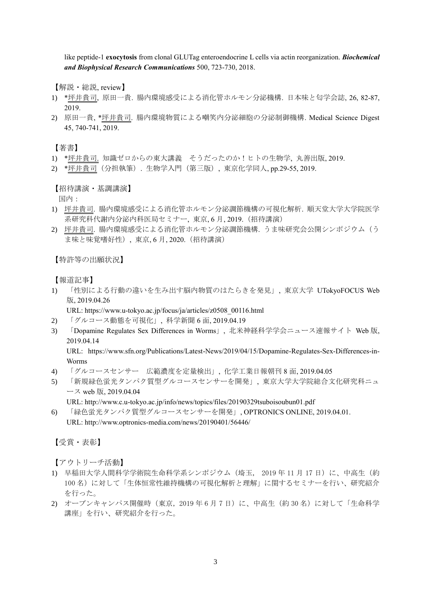like peptide-1 **exocytosis** from clonal GLUTag enteroendocrine L cells via actin reorganization. *Biochemical and Biophysical Research Communications* 500, 723-730, 2018.

【解説・総説, review】

- 1) \*坪井貴司, 原田一貴. 腸内環境感受による消化管ホルモン分泌機構. 日本味と匂学会誌, 26, 82-87, 2019.
- 2) 原田一貴, \*坪井貴司. 腸内環境物質による嘲笑内分泌細胞の分泌制御機構. Medical Science Digest 45, 740-741, 2019.

【著書】

- 1) \*坪井貴司. 知識ゼロからの東大講義 そうだったのか!ヒトの生物学, 丸善出版, 2019.
- 2) \*坪井貴司(分担執筆). 生物学入門(第三版), 東京化学同人, pp.29-55, 2019.

【招待講演・基調講演】

国内:

- 1) 坪井貴司. 腸内環境感受による消化管ホルモン分泌調節機構の可視化解析. 順天堂大学大学院医学 系研究科代謝内分泌内科医局セミナー, 東京, 6 月, 2019.(招待講演)
- 2) 坪井貴司. 腸内環境感受による消化管ホルモン分泌調節機構. うま味研究会公開シンポジウム(う ま味と味覚嗜好性), 東京, 6月, 2020. (招待講演)

【特許等の出願状況】

【報道記事】

1) 「性別による行動の違いを生み出す脳内物質のはたらきを発見」, 東京大学 UTokyoFOCUS Web 版, 2019.04.26

URL: https://www.u-tokyo.ac.jp/focus/ja/articles/z0508\_00116.html

- 2) 「グルコース動態を可視化」, 科学新聞 6 面, 2019.04.19
- 3) 「Dopamine Regulates Sex Differences in Worms」, 北米神経科学学会ニュース速報サイト Web 版, 2019.04.14

URL: https://www.sfn.org/Publications/Latest-News/2019/04/15/Dopamine-Regulates-Sex-Differences-in-Worms

- 4) 「グルコースセンサー 広範濃度を定量検出」, 化学工業日報朝刊 8 面, 2019.04.05
- 5) 「新規緑色蛍光タンパク質型グルコースセンサーを開発」, 東京大学大学院総合文化研究科ニュ ース web 版, 2019.04.04
	- URL: http://www.c.u-tokyo.ac.jp/info/news/topics/files/20190329tsuboisoubun01.pdf
- 6) 「緑色蛍光タンパク質型グルコースセンサーを開発」, OPTRONICS ONLINE, 2019.04.01. URL: http://www.optronics-media.com/news/20190401/56446/

【受賞・表彰】

- 1) 早稲田大学人間科学学術院生命科学系シンポジウム (埼玉, 2019年11月17日)に、中高生(約 100 名)に対して「生体恒常性維持機構の可視化解析と理解」に関するセミナーを行い、研究紹介 を行った。
- 2) オープンキャンパス開催時(東京, 2019年6月7日)に、中高生(約30名)に対して「生命科学 講座」を行い、研究紹介を行った。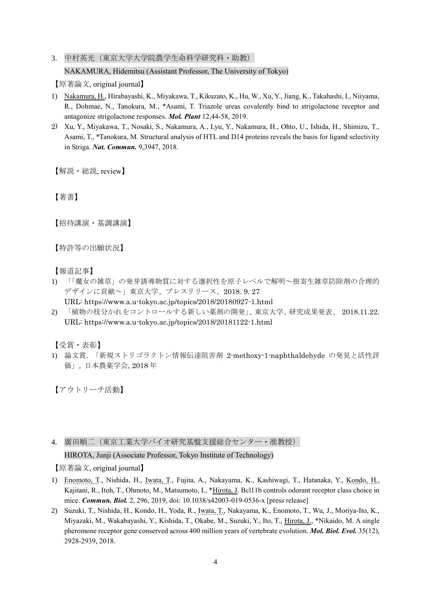3. 中村英光(東京大学大学院農学生命科学研究科·助教) NAKAMURA, Hidemitsu (Assistant Professor, The University of Tokyo)

【原著論文, original journal】

- 1) Nakamura, H., Hirabayashi, K., Miyakawa, T., Kikuzato, K., Hu, W., Xu, Y., Jiang, K., Takahashi, I., Niiyama, R., Dohmae, N., Tanokura, M., \*Asami, T. Triazole ureas covalently bind to strigolactone receptor and antagonize strigolactone responses. *Mol. Plant* 12,44-58, 2019.
- 2) Xu, Y., Miyakawa, T., Nosaki, S., Nakamura, A., Lyu, Y., Nakamura, H., Ohto, U., Ishida, H., Shimizu, T., Asami, T., \*Tanokura, M. Structural analysis of HTL and D14 proteins reveals the basis for ligand selectivity in Striga. *Nat. Commun.* 9,3947, 2018.

【解説・総説, review】

【著書】

【招待講演・基調講演】

【特許等の出願状況】

【報道記事】

- 1) 「「魔女の雑草」の発芽誘導物質に対する選択性を原子レベルで解明~根寄生雑草防除剤の合理的 デザインに貢献~」東京大学、プレスリリース、2018. 9. 27
	- URL: https://www.a.u-tokyo.ac.jp/topics/2018/20180927-1.html
- 2) 「植物の枝分かれをコントロールする新しい薬剤の開発」、東京大学、研究成果発表、 2018.11.22. URL: https://www.a.u-tokyo.ac.jp/topics/2018/20181122-1.html

【受賞・表彰】

1) 論文賞. 「新規ストリゴラクトン情報伝達阻害剤 2-methoxy-1-naphthaldehyde の発見と活性評 価」, 日本農薬学会, 2018 年

【アウトリーチ活動】

4. 廣田順二(東京工業大学バイオ研究基盤支援総合センター・准教授)

HIROTA, Junji (Associate Professor, Tokyo Institute of Technology)

【原著論文, original journal】

- 1) Enomoto, T., Nishida, H., Iwata, T., Fujita, A., Nakayama, K., Kashiwagi, T., Hatanaka, Y., Kondo, H., Kajitani, R., Itoh, T., Ohmoto, M., Matsumoto, I., \*Hirota, J. Bcl11b controls odorant receptor class choice in mice. *Commun. Biol.* 2, 296, 2019, doi: 10.1038/s42003-019-0536-x [press release]
- 2) Suzuki, T., Nishida, H., Kondo, H., Yoda, R., Iwata, T., Nakayama, K., Enomoto, T., Wu, J., Moriya-Ito, K., Miyazaki, M., Wakabayashi, Y., Kishida, T., Okabe, M., Suzuki, Y., Ito, T., Hirota, J., \*Nikaido, M. A single pheromone receptor gene conserved across 400 million years of vertebrate evolution. *Mol. Biol. Evol.* 35(12), 2928-2939, 2018.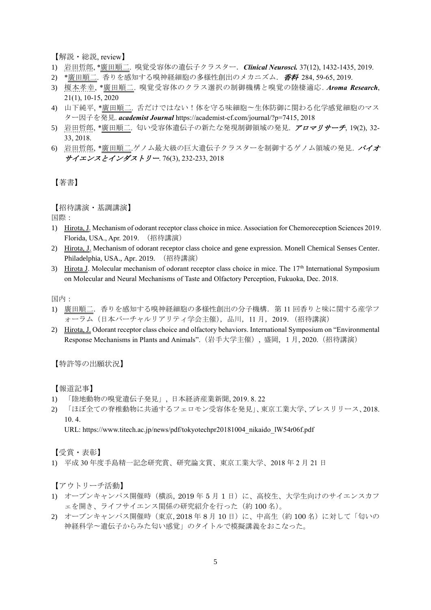【解説・総説, review】

- 1) 岩田哲郎, \*廣田順二. 嗅覚受容体の遺伝子クラスター.*Clinical Neurosci.* 37(12), 1432-1435, 2019.
- 2) \*廣田順二. 香りを感知する嗅神経細胞の多様性創出のメカニズム. 香料 284, 59-65, 2019.
- 3) 榎本孝幸, \*廣田順二. 嗅覚受容体のクラス選択の制御機構と嗅覚の陸棲適応. *Aroma Research*, 21(1), 10-15, 2020
- 4) 山下純平, \*廣田順二. 舌だけではない!体を守る味細胞〜生体防御に関わる化学感覚細胞のマス ター因子を発見. *academist Journal* https://academist-cf.com/journal/?p=7415, 2018
- 5) 岩田哲郎, \*廣田順二. 匂い受容体遺伝子の新たな発現制御領域の発見. アロマリサーチ, 19(2), 32- 33, 2018.
- 6) 岩田哲郎, \*廣田順二.ゲノム最大級の巨大遺伝子クラスターを制御するゲノム領域の発見. バイオ サイエンスとインダストリー. 76(3), 232-233, 2018

【著書】

【招待講演・基調講演】

国際:

- 1) Hirota, J. Mechanism of odorant receptor class choice in mice. Association for Chemoreception Sciences 2019. Florida, USA., Apr. 2019. (招待講演)
- 2) Hirota, J. Mechanism of odorant receptor class choice and gene expression. Monell Chemical Senses Center. Philadelphia, USA., Apr. 2019. (招待講演)
- 3) Hirota J. Molecular mechanism of odorant receptor class choice in mice. The 17<sup>th</sup> International Symposium on Molecular and Neural Mechanisms of Taste and Olfactory Perception, Fukuoka, Dec. 2018.

国内:

- 1) 廣田順二.香りを感知する嗅神経細胞の多様性創出の分子機構.第 11 回香りと味に関する産学フ ォーラム(日本バーチャルリアリティ学会主催),品川,11 月,2019.(招待講演)
- 2) Hirota, J. Odorant receptor class choice and olfactory behaviors. International Symposium on "Environmental Response Mechanisms in Plants and Animals".(岩手大学主催), 盛岡, 1月, 2020.(招待講演)

#### 【特許等の出願状況】

【報道記事】

- 1) 「陸地動物の嗅覚遺伝子発見」, 日本経済産業新聞, 2019. 8. 22
- 2) 「ほぼ全ての脊椎動物に共通するフェロモン受容体を発見」、東京工業大学、プレスリリース、2018. 10. 4.

URL: https://www.titech.ac.jp/news/pdf/tokyotechpr20181004\_nikaido\_lW54r06f.pdf

【受賞・表彰】

1) 平成 30 年度手島精一記念研究賞、研究論文賞、東京工業大学、2018 年 2 月 21 日

- 1) オープンキャンパス開催時(横浜, 2019 年 5 月 1 日)に、高校生、大学生向けのサイエンスカフ ェを開き、ライフサイエンス関係の研究紹介を行った(約 100 名)。
- 2) オープンキャンパス開催時(東京, 2018 年 8 月 10 日)に、中高生(約 100 名)に対して「匂いの 神経科学〜遺伝子からみた匂い感覚」のタイトルで模擬講義をおこなった。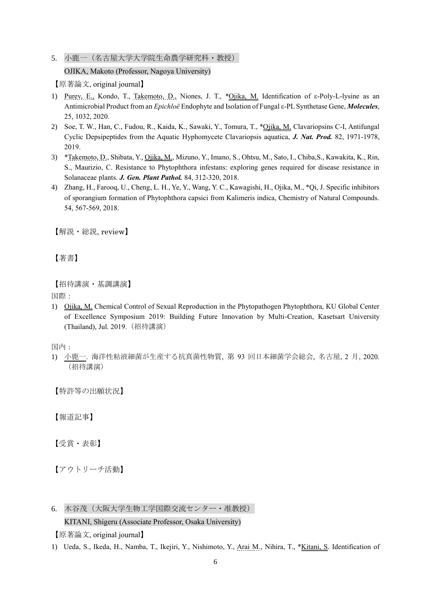5. 小鹿一 (名古屋大学大学院生命農学研究科·教授)

OJIKA, Makoto (Professor, Nagoya University)

【原著論文, original journal】

- 1) Purev, E., Kondo, T., Takemoto, D., Niones, J. T., \*Ojika, M. Identification of ε-Poly-L-lysine as an Antimicrobial Product from an *Epichloë* Endophyte and Isolation of Fungal ε-PL Synthetase Gene, *Molecules*, 25, 1032, 2020.
- 2) Soe, T. W., Han, C., Fudou, R., Kaida, K., Sawaki, Y., Tomura, T., \*Ojika, M. Clavariopsins C-I, Antifungal Cyclic Depsipeptides from the Aquatic Hyphomycete Clavariopsis aquatica, *J. Nat. Prod.* 82, 1971-1978, 2019.
- 3) \*Takemoto, D., Shibata, Y., Ojika, M., Mizuno, Y., Imano, S., Ohtsu, M., Sato, I., Chiba,S., Kawakita, K., Rin, S., Maurizio, C. Resistance to Phytophthora infestans: exploring genes required for disease resistance in Solanaceae plants. *J. Gen. Plant Pathol.* 84, 312-320, 2018.
- 4) Zhang, H., Farooq, U., Cheng, L. H., Ye, Y., Wang, Y. C., Kawagishi, H., Ojika, M., \*Qi, J. Specific inhibitors of sporangium formation of Phytophthora capsici from Kalimeris indica, Chemistry of Natural Compounds. 54, 567-569, 2018.

【解説・総説, review】

【著書】

```
【招待講演・基調講演】
```
国際:

1) Ojika, M. Chemical Control of Sexual Reproduction in the Phytopathogen Phytophthora, KU Global Center of Excellence Symposium 2019: Building Future Innovation by Multi-Creation, Kasetsart University (Thailand), Jul. 2019.(招待講演)

国内:

1) 小鹿一. 海洋性粘液細菌が生産する抗真菌性物質, 第 93 回日本細菌学会総会, 名古屋, 2 月, 2020. (招待講演)

【特許等の出願状況】

【報道記事】

【受賞・表彰】

【アウトリーチ活動】

6. 木谷茂(大阪大学生物工学国際交流センター・准教授)

# KITANI, Shigeru (Associate Professor, Osaka University)

【原著論文, original journal】

1) Ueda, S., Ikeda, H., Namba, T., Ikejiri, Y., Nishimoto, Y., Arai M., Nihira, T., \*Kitani, S. Identification of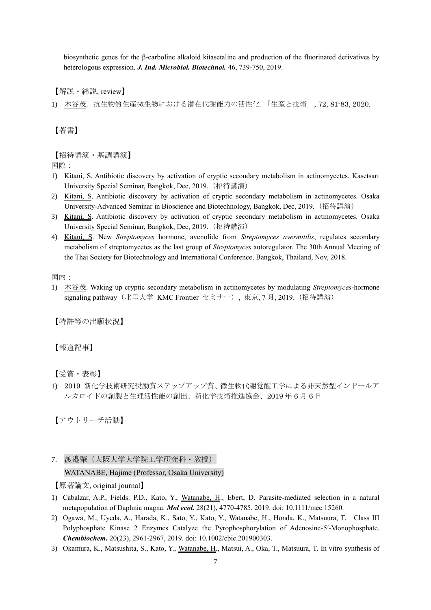biosynthetic genes for the β-carboline alkaloid kitasetaline and production of the fluorinated derivatives by heterologous expression. *J. Ind. Microbiol. Biotechnol.* 46, 739-750, 2019.

【解説・総説, review】

1) 木谷茂. 抗生物質生産微生物における潜在代謝能力の活性化.「生産と技術」, 72, 81-83, 2020.

【著書】

# 【招待講演・基調講演】

国際:

- 1) Kitani, S. Antibiotic discovery by activation of cryptic secondary metabolism in actinomycetes. Kasetsart University Special Seminar, Bangkok, Dec, 2019.(招待講演)
- 2) Kitani, S. Antibiotic discovery by activation of cryptic secondary metabolism in actinomycetes. Osaka University-Advanced Seminar in Bioscience and Biotechnology, Bangkok, Dec, 2019.(招待講演)
- 3) Kitani, S. Antibiotic discovery by activation of cryptic secondary metabolism in actinomycetes. Osaka University Special Seminar, Bangkok, Dec, 2019.(招待講演)
- 4) Kitani, S. New *Streptomyces* hormone, avenolide from *Streptomyces avermitilis*, regulates secondary metabolism of streptomycetes as the last group of *Streptomyces* autoregulator. The 30th Annual Meeting of the Thai Society for Biotechnology and International Conference, Bangkok, Thailand, Nov, 2018.

国内:

1) 木谷茂. Waking up cryptic secondary metabolism in actinomycetes by modulating *Streptomyces*-hormone signaling pathway (北里大学 KMC Frontier セミナー), 東京, 7月, 2019. (招待講演)

【特許等の出願状況】

【報道記事】

【受賞・表彰】

1) 2019 新化学技術研究奨励賞ステップアップ賞、微生物代謝覚醒工学による非天然型インドールア ルカロイドの創製と生理活性能の創出、新化学技術推進協会、2019 年 6 月 6 日

【アウトリーチ活動】

7. 渡邉肇(大阪大学大学院工学研究科・教授)

WATANABE, Hajime (Professor, Osaka University)

【原著論文, original journal】

- 1) Cabalzar, A.P., Fields. P.D., Kato, Y., Watanabe, H., Ebert, D. Parasite-mediated selection in a natural metapopulation of Daphnia magna. *Mol ecol.* 28(21), 4770-4785, 2019. doi: 10.1111/mec.15260.
- 2) Ogawa, M., Uyeda, A., Harada, K., Sato, Y., Kato, Y., Watanabe, H., Honda, K., Matsuura, T. Class III Polyphosphate Kinase 2 Enzymes Catalyze the Pyrophosphorylation of Adenosine‐5′‐Monophosphate. *Chembiochem.* 20(23), 2961-2967, 2019. doi: 10.1002/cbic.201900303.
- 3) Okamura, K., Matsushita, S., Kato, Y., Watanabe, H., Matsui, A., Oka, T., Matsuura, T. In vitro synthesis of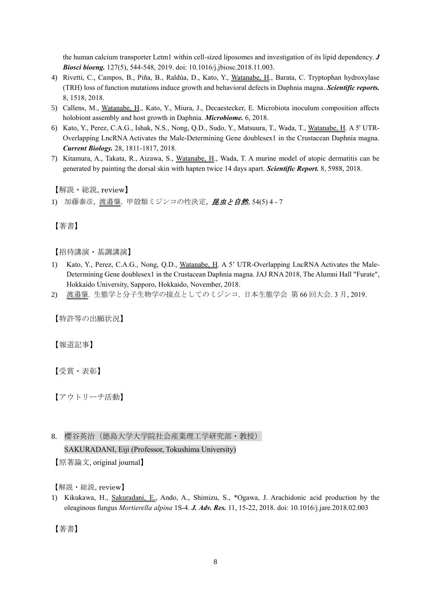the human calcium transporter Letm1 within cell-sized liposomes and investigation of its lipid dependency. *J Biosci bioeng.* 127(5), 544-548, 2019. doi: 10.1016/j.jbiosc.2018.11.003.

- 4) Rivetti, C., Campos, B., Piña, B., Raldúa, D., Kato, Y., Watanabe, H., Barata, C. Tryptophan hydroxylase (TRH) loss of function mutations induce growth and behavioral defects in Daphnia magna. *Scientific reports.* 8, 1518, 2018.
- 5) Callens, M., Watanabe, H., Kato, Y., Miura, J., Decaestecker, E. Microbiota inoculum composition affects holobiont assembly and host growth in Daphnia. *Microbiome.* 6, 2018.
- 6) Kato, Y., Perez, C.A.G., Ishak, N.S., Nong, Q.D., Sudo, Y., Matsuura, T., Wada, T., Watanabe, H. A 5' UTR-Overlapping LncRNA Activates the Male-Determining Gene doublesex1 in the Crustacean Daphnia magna. *Current Biology.* 28, 1811-1817, 2018.
- 7) Kitamura, A., Takata, R., Aizawa, S., Watanabe, H., Wada, T. A murine model of atopic dermatitis can be generated by painting the dorsal skin with hapten twice 14 days apart. *Scientific Report.* 8, 5988, 2018.

【解説・総説, review】

1) 加藤泰彦, 渡邉肇. 甲殻類ミジンコの性決定, *昆虫と自然*, 54(5) 4 - 7

【著書】

【招待講演・基調講演】

- 1) Kato, Y., Perez, C.A.G., Nong, Q.D., Watanabe, H. A 5' UTR-Overlapping LncRNA Activates the Male-Determining Gene doublesex1 in the Crustacean Daphnia magna. JAJ RNA 2018, The Alumni Hall "Furate", Hokkaido University, Sapporo, Hokkaido, November, 2018.
- 2) 渡邉肇. 生態学と分子生物学の接点としてのミジンコ. 日本生態学会 第 66 回大会. 3 月, 2019.

【特許等の出願状況】

【報道記事】

【受賞・表彰】

【アウトリーチ活動】

8. 櫻谷英治(徳島大学大学院社会産業理工学研究部・教授)

SAKURADANI, Eiji (Professor, Tokushima University)

【原著論文, original journal】

【解説・総説, review】

1) Kikukawa, H., Sakuradani, E., Ando, A., Shimizu, S., \*Ogawa, J. Arachidonic acid production by the oleaginous fungus *Mortierella alpina* 1S-4. *J. Adv. Res.* 11, 15-22, 2018. doi: 10.1016/j.jare.2018.02.003

【著書】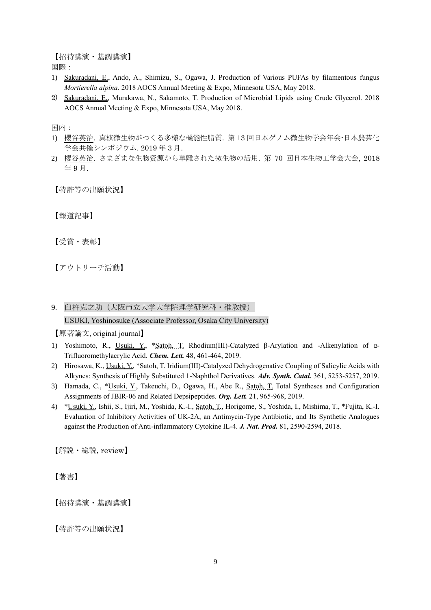【招待講演・基調講演】

国際:

- 1) Sakuradani, E., Ando, A., Shimizu, S., Ogawa, J. Production of Various PUFAs by filamentous fungus *Mortierella alpina*. 2018 AOCS Annual Meeting & Expo, Minnesota USA, May 2018.
- 2) Sakuradani, E., Murakawa, N., Sakamoto, T. Production of Microbial Lipids using Crude Glycerol. 2018 AOCS Annual Meeting & Expo, Minnesota USA, May 2018.

国内:

- 1) 櫻谷英治. 真核微生物がつくる多様な機能性脂質. 第 13 回日本ゲノム微生物学会年会-日本農芸化 学会共催シンポジウム. 2019 年 3 月.
- 2) 櫻谷英治. さまざまな生物資源から単離された微生物の活用. 第 70 回日本生物工学会大会, 2018 年 9 月.

【特許等の出願状況】

【報道記事】

【受賞・表彰】

【アウトリーチ活動】

9. 臼杵克之助(大阪市立大学大学院理学研究科・准教授)

USUKI, Yoshinosuke (Associate Professor, Osaka City University)

【原著論文, original journal】

- 1) Yoshimoto, R., Usuki, Y., \*Satoh, T. Rhodium(III)-Catalyzed β-Arylation and -Alkenylation of α-Trifluoromethylacrylic Acid. *Chem. Lett.* 48, 461-464, 2019.
- 2) Hirosawa, K., Usuki, Y., \*Satoh, T. Iridium(III)-Catalyzed Dehydrogenative Coupling of Salicylic Acids with Alkynes: Synthesis of Highly Substituted 1-Naphthol Derivatives. *Adv. Synth. Catal.* 361, 5253-5257, 2019.
- 3) Hamada, C., \*Usuki, Y., Takeuchi, D., Ogawa, H., Abe R., Satoh, T. Total Syntheses and Configuration Assignments of JBIR-06 and Related Depsipeptides. *Org. Lett.* 21, 965-968, 2019.
- 4) \*Usuki, Y., Ishii, S., Ijiri, M., Yoshida, K.-I., Satoh, T., Horigome, S., Yoshida, I., Mishima, T., \*Fujita, K.-I. Evaluation of Inhibitory Activities of UK-2A, an Antimycin-Type Antibiotic, and Its Synthetic Analogues against the Production of Anti-inflammatory Cytokine IL-4. *J. Nat. Prod.* 81, 2590-2594, 2018.

【解説・総説, review】

【著書】

【招待講演・基調講演】

【特許等の出願状況】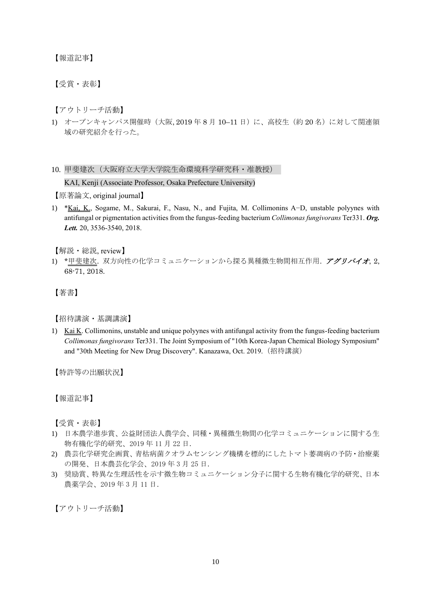【報道記事】

【受賞・表彰】

【アウトリーチ活動】

1) オープンキャンパス開催時 (大阪, 2019年8月 10-11日)に、高校生(約20名)に対して関連領 域の研究紹介を行った。

10. 甲斐建次(大阪府立大学大学院生命環境科学研究科・准教授)

KAI, Kenji (Associate Professor, Osaka Prefecture University)

【原著論文, original journal】

1) \*Kai, K., Sogame, M., Sakurai, F., Nasu, N., and Fujita, M. Collimonins A-D, unstable polyynes with antifungal or pigmentation activities from the fungus-feeding bacterium *Collimonas fungivorans* Ter331. *Org. Lett.* 20, 3536-3540, 2018.

【解説・総説, review】

1) \*甲斐建次. 双方向性の化学コミュニケーションから探る異種微生物間相互作用. アグリバイオ, 2, 68-71, 2018.

【著書】

【招待講演・基調講演】

1) Kai K. Collimonins, unstable and unique polyynes with antifungal activity from the fungus-feeding bacterium *Collimonas fungivorans* Ter331. The Joint Symposium of "10th Korea-Japan Chemical Biology Symposium" and "30th Meeting for New Drug Discovery". Kanazawa, Oct. 2019.(招待講演)

【特許等の出願状況】

【報道記事】

【受賞・表彰】

- 1) 日本農学進歩賞、公益財団法人農学会、同種・異種微生物間の化学コミュニケーションに関する生 物有機化学的研究、2019 年 11 月 22 日.
- 2) 農芸化学研究企画賞、青枯病菌クオラムセンシング機構を標的にしたトマト萎凋病の予防・治療薬 の開発、日本農芸化学会、2019 年 3 月 25 日.
- 3) 奨励賞、特異な生理活性を示す微生物コミュニケーション分子に関する生物有機化学的研究、日本 農薬学会、2019 年 3 月 11 日.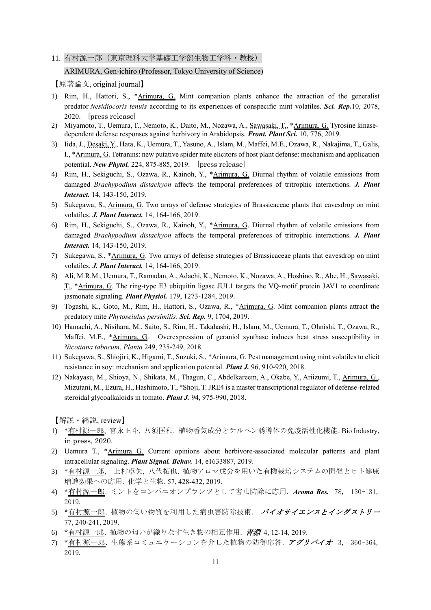11. 有村源一郎(東京理科大学基礎工学部生物工学科·教授)

# ARIMURA, Gen-ichiro (Professor, Tokyo University of Science)

【原著論文, original journal】

- 1) Rim, H., Hattori, S., \*Arimura, G. Mint companion plants enhance the attraction of the generalist predator *Nesidiocoris tenuis* according to its experiences of conspecific mint volatiles. *Sci. Rep.*10, 2078, 2020. [press release]
- 2) Miyamoto, T., Uemura, T., Nemoto, K., Daito, M., Nozawa, A., Sawasaki, T., \*Arimura, G. Tyrosine kinasedependent defense responses against herbivory in Arabidopsis. *Front. Plant Sci.* 10, 776, 2019.
- 3) Iida, J., Desaki, Y., Hata, K., Uemura, T., Yasuno, A., Islam, M., Maffei, M.E., Ozawa, R., Nakajima, T., Galis, I., \*Arimura, G. Tetranins: new putative spider mite elicitors of host plant defense: mechanism and application potential. *New Phytol.* 224, 875-885, 2019. [press release]
- 4) Rim, H., Sekiguchi, S., Ozawa, R., Kainoh, Y., \*Arimura, G. Diurnal rhythm of volatile emissions from damaged *Brachypodium distachyon* affects the temporal preferences of tritrophic interactions. *J. Plant Interact.* 14, 143-150, 2019.
- 5) Sukegawa, S., Arimura, G. Two arrays of defense strategies of Brassicaceae plants that eavesdrop on mint volatiles. *J. Plant Interact.* 14, 164-166, 2019.
- 6) Rim, H., Sekiguchi, S., Ozawa, R., Kainoh, Y., \*Arimura, G. Diurnal rhythm of volatile emissions from damaged *Brachypodium distachyon* affects the temporal preferences of tritrophic interactions. *J. Plant Interact.* 14, 143-150, 2019.
- 7) Sukegawa, S., \*Arimura, G. Two arrays of defense strategies of Brassicaceae plants that eavesdrop on mint volatiles. *J. Plant Interact.* 14, 164-166, 2019.
- 8) Ali, M.R.M., Uemura, T., Ramadan, A., Adachi, K., Nemoto, K., Nozawa, A., Hoshino, R., Abe, H., Sawasaki, T., \*Arimura, G. The ring-type E3 ubiquitin ligase JUL1 targets the VQ-motif protein JAV1 to coordinate jasmonate signaling. *Plant Physiol.* 179, 1273-1284, 2019.
- 9) Togashi, K., Goto, M., Rim, H., Hattori, S., Ozawa, R., \*Arimura, G. Mint companion plants attract the predatory mite *Phytoseiulus persimilis*. *Sci. Rep.* 9, 1704, 2019.
- 10) Hamachi, A., Nisihara, M., Saito, S., Rim, H., Takahashi, H., Islam, M., Uemura, T., Ohnishi, T., Ozawa, R., Maffei, M.E., \*Arimura, G. Overexpression of geraniol synthase induces heat stress susceptibility in *Nicotiana tabacum*. *Planta* 249, 235-249, 2018.
- 11) Sukegawa, S., Shiojiri, K., Higami, T., Suzuki, S., \*Arimura, G. Pest management using mint volatiles to elicit resistance in soy: mechanism and application potential. *Plant J.* 96, 910-920, 2018.
- 12) Nakayasu, M., Shioya, N., Shikata, M., Thagun, C., Abdelkareem, A., Okabe, Y., Ariizumi, T., Arimura, G., Mizutani, M., Ezura, H., Hashimoto, T., \*Shoji, T. JRE4 is a master transcriptional regulator of defense-related steroidal glycoalkaloids in tomato. *Plant J.* 94, 975-990, 2018.

【解説・総説, review】

- 1) \*有村源一郎, 宮永正斗, 八須匡和. 植物香気成分とテルペン誘導体の免疫活性化機能. Bio Industry, in press, 2020.
- 2) Uemura T., \*Arimura G. Current opinions about herbivore-associated molecular patterns and plant intracellular signaling. *Plant Signal. Behav.* 14, e1633887, 2019.
- 3) \*有村源一郎, 上村卓矢, 八代拓也. 植物アロマ成分を用いた有機栽培システムの開発とヒト健康 増進効果への応用. 化学と生物, 57, 428-432, 2019.
- 4) \*有村源一郎. ミントをコンパニオンプランツとして害虫防除に応用. *Aroma Res.* 78, 130-131, 2019.
- 5) \*有村源一郎. 植物の匂い物質を利用した病虫害防除技術. バイオサイエンスとインダストリー 77, 240-241, 2019.
- 6) \*有村源一郎. 植物の匂いが織りなす生き物の相互作用. 青淵 4, 12-14, 2019.
- 7) \*有村源一郎. 生態系コミュニケーションを介した植物の防御応答. アグリバイオ 3, 360-364, 2019.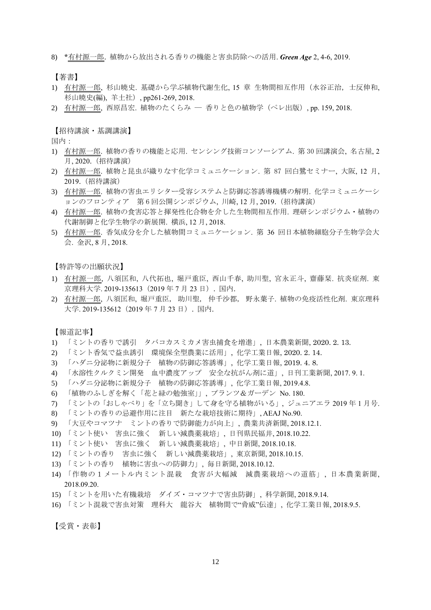8) \*有村源一郎. 植物から放出される香りの機能と害虫防除への活用. *Green Age* 2, 4-6, 2019.

【著書】

- 1) 有村源一郎, 杉山暁史. 基礎から学ぶ植物代謝生化, 15 章 生物間相互作用(水谷正治,士反伸和, 杉山暁史(編), 羊土社), pp261-269, 2018.
- 2) 有村源一郎, 西原昌宏. 植物のたくらみ ― 香りと色の植物学(ペレ出版), pp. 159, 2018.

【招待講演・基調講演】

国内:

- 1) 有村源一郎. 植物の香りの機能と応用. センシング技術コンソーシアム. 第 30 回講演会, 名古屋, 2 月, 2020.(招待講演)
- 2) 有村源一郎. 植物と昆虫が織りなす化学コミュニケーション. 第 87 回白鷺セミナー, 大阪, 12 月, 2019.(招待講演)
- 3) 有村源一郎. 植物の害虫エリシター受容システムと防御応答誘導機構の解明. 化学コミュニケーシ ョンのフロンティア 第 6 回公開シンポジウム, 川崎, 12 月, 2019.(招待講演)
- 4) 有村源一郎. 植物の食害応答と揮発性化合物を介した生物間相互作用. 理研シンポジウム・植物の 代謝制御と化学生物学の新展開. 横浜, 12 月, 2018.
- 5) 有村源一郎. 香気成分を介した植物間コミュニケーション. 第 36 回日本植物細胞分子生物学会大 会. 金沢, 8 月, 2018.

【特許等の出願状況】

- 1) 有村源一郎, 八須匡和, 八代拓也, 堀戸重臣, 西山千春, 助川聖, 宮永正斗, 齋藤栞. 抗炎症剤. 東 京理科大学. 2019-135613(2019 年 7 月 23 日). 国内.
- 2) 有村源一郎, 八須匡和, 堀戸重臣, 助川聖, 仲千沙都, 野永葉子. 植物の免疫活性化剤. 東京理科 大学. 2019-135612 (2019年 7月 23日). 国内.

【報道記事】

- 1) 「ミントの香りで誘引 タバコカスミカメ害虫捕食を増進」, 日本農業新聞, 2020. 2. 13.
- 2) 「ミント香気で益虫誘引 環境保全型農業に活用」, 化学工業日報, 2020. 2. 14.
- 3) 「ハダニ分泌物に新規分子 植物の防御応答誘導」, 化学工業日報, 2019. 4. 8.
- 4) 「水溶性クルクミン開発 血中濃度アップ 安全な抗がん剤に道」, 日刊工業新聞, 2017. 9. 1.
- 5) 「ハダニ分泌物に新規分子 植物の防御応答誘導」, 化学工業日報, 2019.4.8.
- 6) 「植物のふしぎを解く「花と緑の勉強室」」, プランツ&ガーデン No. 180.
- 7) 「ミントの「おしゃべり」を「立ち聞き」して身を守る植物がいる」, ジュニアエラ 2019 年 1 月号.
- 8) 「ミントの香りの忌避作用に注目 新たな栽培技術に期待」, AEAJ No.90.
- 9) 「大豆やコマツナ ミントの香りで防御能力が向上」, 農業共済新聞, 2018.12.1.
- 10) 「ミント使い 害虫に強く 新しい減農薬栽培」, 日刊県民福井, 2018.10.22.
- 11) 「ミント使い 害虫に強く 新しい減農薬栽培」, 中日新聞, 2018.10.18.
- 12) 「ミントの香り 害虫に強く 新しい減農薬栽培」, 東京新聞, 2018.10.15.
- 13) 「ミントの香り 植物に害虫への防御力」, 毎日新聞, 2018.10.12.
- 14) 「作物の1メートル内ミント混栽 食害が大幅減 減農薬栽培への道筋」, 日本農業新聞, 2018.09.20.
- 15) 「ミントを用いた有機栽培 ダイズ・コマツナで害虫防御」, 科学新聞, 2018.9.14.
- 16) 「ミント混栽で害虫対策 理科大 龍谷大 植物間で"脅威"伝達」, 化学工業日報, 2018.9.5.

【受賞・表彰】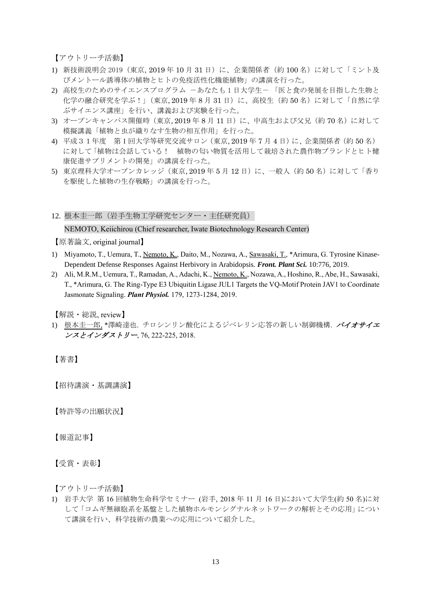【アウトリーチ活動】

- 1) 新技術説明会 2019 (東京, 2019年10月 31日)に、企業関係者(約100名)に対して「ミント及 びメントール誘導体の植物とヒトの免疫活性化機能植物」の講演を行った。
- 2) 高校生のためのサイエンスプログラム 一あなたも1日大学生ー「医と食の発展を目指した生物と 化学の融合研究を学ぶ!」(東京, 2019年8月31日)に、高校生(約50名)に対して「自然に学 ぶサイエンス講座」を行い、講義および実験を行った。
- 3) オープンキャンパス開催時 (東京, 2019年8月11日)に、中高生および父兄(約70名)に対して 模擬講義「植物と虫が織りなす生物の相互作用」を行った。
- 4) 平成31年度 第 1 回大学等研究交流サロン(東京, 2019 年 7 月 4 日)に、企業関係者(約 50 名) に対して「植物は会話している! 植物の匂い物質を活用して栽培された農作物ブランドとヒト健 康促進サプリメントの開発」の講演を行った。
- 5) 東京理科大学オープンカレッジ (東京, 2019年5月12日)に、一般人 (約50名)に対して「香り を駆使した植物の生存戦略」の講演を行った。
- 12. 根本圭一郎(岩手生物工学研究センター・主任研究員)

#### NEMOTO, Keiichirou (Chief researcher, Iwate Biotechnology Research Center)

【原著論文, original journal】

- 1) Miyamoto, T., Uemura, T., Nemoto, K., Daito, M., Nozawa, A., Sawasaki, T., \*Arimura, G. Tyrosine Kinase-Dependent Defense Responses Against Herbivory in Arabidopsis. *Front. Plant Sci.* 10:776, 2019.
- 2) Ali, M.R.M., Uemura, T., Ramadan, A., Adachi, K., Nemoto, K., Nozawa, A., Hoshino, R., Abe, H., Sawasaki, T., \*Arimura, G. The Ring-Type E3 Ubiquitin Ligase JUL1 Targets the VQ-Motif Protein JAV1 to Coordinate Jasmonate Signaling. *Plant Physiol.* 179, 1273-1284, 2019.

【解説・総説, review】

1) 根本圭一郎、\*澤崎達也. チロシンリン酸化によるジベレリン応答の新しい制御機構. バイオサイエ ンスとインダストリー, 76, 222-225, 2018.

【著書】

【招待講演・基調講演】

【特許等の出願状況】

【報道記事】

【受賞・表彰】

【アウトリーチ活動】

1) 岩手大学 第 16 回植物生命科学セミナー (岩手, 2018 年 11 月 16 日)において大学生(約 50 名)に対 して「コムギ無細胞系を基盤とした植物ホルモンシグナルネットワークの解析とその応用」につい て講演を行い、科学技術の農業への応用について紹介した。